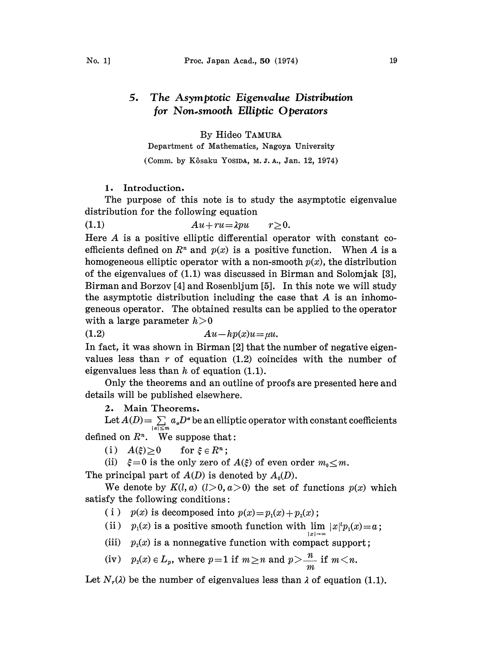# 5, The Asymptotic Eigenvalue Distribution for Non.smooth Elliptic Operators

By Hideo TAMuzA

Department ot Mathematics, Nagoya University (Comm. by Kôsaku YosiDA, M.J.A., Jan. 12, 1974)

### 1. Introduction.

The purpose of this note is to study the asymptotic eigenvalue distribution for the following equation

(1.1)  $Au+ru=\lambda pu$   $r\geq 0$ .

Here A is <sup>a</sup> positive elliptic differential operator with constant coefficients defined on  $R^n$  and  $p(x)$  is a positive function. When A is a homogeneous elliptic operator with a non-smooth  $p(x)$ , the distribution of the eigenvalues of (1.1) was discussed in Birman and Solomjak [3], Birman and Borzov [4] and Rosenbljum [5]. In this note we will study the asymptotic distribution including the case that  $A$  is an inhomogeneous operator. The obtained results can be applied to the operator with a large parameter  $h>0$ <br>(1.2)  $A_0$ 

 $Au-hp(x)u=\mu u.$ 

In fact, it was shown in Birman  $[2]$  that the number of negative eigenvalues less than  $r$  of equation (1.2) coincides with the number of eigenvalues less than  $h$  of equation (1.1).

Only the theorems and an outline of proofs are presented here and details will be published elsewhere.

2. Main Theorems.

Let  $A(D) = \sum_{|\alpha| \leq m} a_{\alpha}D^{\alpha}$  be an elliptic operator with constant coefficients defined on  $R<sup>n</sup>$ . We suppose that:

(i)  $A(\xi) \ge 0$  for  $\xi \in R^n$ ;

(ii)  $\xi = 0$  is the only zero of  $A(\xi)$  of even order  $m_0 \le m$ .

The principal part of  $A(D)$  is denoted by  $A_0(D)$ .

We denote by  $K(l, a)$   $(l>0, a>0)$  the set of functions  $p(x)$  which satisfy the following conditions:

( i )  $p(x)$  is decomposed into  $p(x)=p_1(x)+p_2(x)$ ;

(ii)  $p_1(x)$  is a positive smooth function with  $\lim_{|x|\to\infty} |x|^p p_1(x)=a$ ;

(iii)  $p_2(x)$  is a nonnegative function with compact support;

(iv) 
$$
p_2(x) \in L_p
$$
, where  $p=1$  if  $m \ge n$  and  $p > \frac{n}{m}$  if  $m < n$ .

Let  $N_r(\lambda)$  be the number of eigenvalues less than  $\lambda$  of equation (1.1).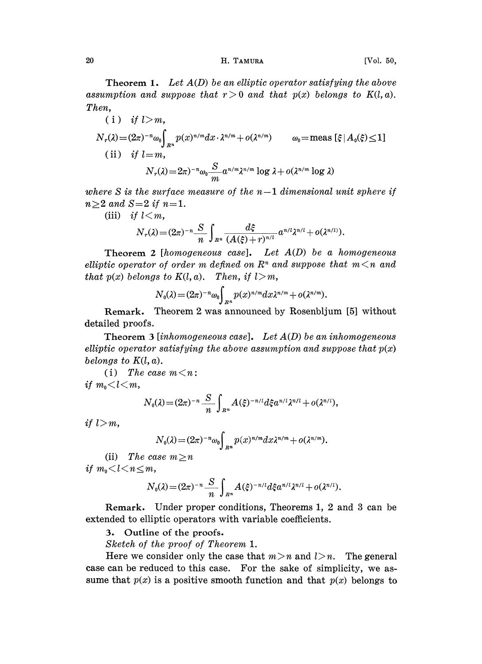# 20 H. TAMURA [Vol. 50,

**Theorem 1.** Let  $A(D)$  be an elliptic operator satisfying the above assumption and suppose that  $r>0$  and that  $p(x)$  belongs to  $K(l, a)$ . Then,

\n- (i) if 
$$
l > m
$$
,
\n- $N_r(\lambda) = (2\pi)^{-n} \omega_0 \int_{R^n} p(x)^{n/m} dx \cdot \lambda^{n/m} + o(\lambda^{n/m}) \qquad \omega_0 = \text{meas} \left[ \xi \mid A_0(\xi) \leq 1 \right]$
\n- (ii) if  $l = m$ ,
\n- $N_r(\lambda) = 2\pi)^{-n} \omega_0 \frac{S}{m} a^{n/m} \lambda^{n/m} \log \lambda + o(\lambda^{n/m} \log \lambda)$
\n

where S is the surface measure of the  $n-1$  dimensional unit sphere if  $n\geq 2$  and  $S=2$  if  $n=1$ .

(iii) if  $l < m$ ,

$$
N_r(\lambda) = (2\pi)^{-n} \frac{S}{n} \int_{R^n} \frac{d\xi}{(A(\xi) + r)^{n/l}} a^{n/l} \lambda^{n/l} + o(\lambda^{n/l}).
$$

**Theorem 2** [homogeneous case]. Let  $A(D)$  be a homogeneous elliptic operator of order m defined on  $\mathbb{R}^n$  and suppose that  $m < n$  and that  $p(x)$  belongs to  $K(l, a)$ . Then, if  $l > m$ ,

$$
N_0(\lambda)=(2\pi)^{-n}\omega_0\int_{R^n}p(x)^{n/m}dx\lambda^{n/m}+o(\lambda^{n/m}).
$$

Remark. Theorem 2 was announced by Rosenbljum [5] without detailed proofs.

Theorem 3 [inhomogeneous case]. Let  $A(D)$  be an inhomogeneous elliptic operator satisfying the above assumption and suppose that  $p(x)$ belongs to  $K(l, a)$ .

(i) The case  $m < n$ : if  $m_{\rm n} < l < m$ ,

$$
N_0(\lambda) = (2\pi)^{-n} \frac{S}{n} \int_{R^n} A(\xi)^{-n/l} d\xi a^{n/l} \lambda^{n/l} + o(\lambda^{n/l}),
$$

if  $l>m$ ,

$$
N_0(\lambda) = (2\pi)^{-n} \omega_0 \int_{R^n} p(x)^{n/m} dx \lambda^{n/m} + o(\lambda^{n/m}).
$$

(ii) The case  $m \geq n$ if  $m_0 < l < n \le m$ ,

$$
N_0(\lambda) = (2\pi)^{-n} \frac{S}{n} \int_{R^n} A(\xi)^{-n/l} d\xi a^{n/l} \lambda^{n/l} + o(\lambda^{n/l}).
$$

Remark. Under proper conditions, Theorems 1, 2 and 3 can be extended to elliptic operators with variable coefficients.

3. Outline of the proofs.

Sketch of the proof of Theorem 1.

Here we consider only the case that  $m > n$  and  $l > n$ . The general case can be reduced to this case. For the sake of simplicity, we assume that  $p(x)$  is a positive smooth function and that  $p(x)$  belongs to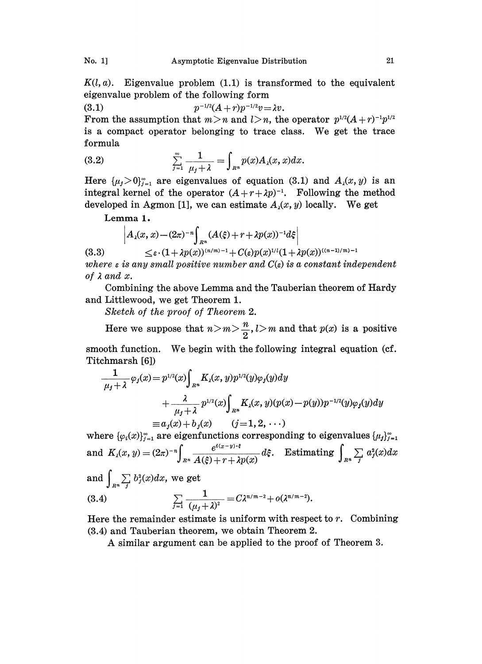$K(l, a)$ . Eigenvalue problem  $(1.1)$  is transformed to the equivalent eigenvalue problem of the following form

(3.1)  $p^{-1/2}(A+r)p^{-1/2}v = \lambda v.$ 

From the assumption that  $m>n$  and  $l>n$ , the operator  $p^{1/2}(A+r)^{-1}p^{1/2}$ is <sup>a</sup> compact operator belonging to trace class. We get the trace formula

(3.2) 
$$
\sum_{j=1}^{\infty} \frac{1}{\mu_j + \lambda} = \int_{R^n} p(x) A_{\lambda}(x, x) dx.
$$

Here  $\{\mu_j > 0\}_{j=1}^{\infty}$  are eigenvalues of equation (3.1) and  $A_i(x, y)$  is an integral kernel of the operator  $(A+r+\lambda p)^{-1}$ . Following the method developed in Agmon [1], we can estimate  $A_i(x, y)$  locally. We get

Lemma 1.

$$
\left|A_{\lambda}(x,x)-(2\pi)^{-n}\int_{R^n}(A(\xi)+r+\lambda p(x))^{-1}d\xi\right|
$$

(3.3)  $\langle \varepsilon \cdot (1 + \lambda p(x))^{(n/m)-1} + C(\varepsilon) p(x)^{1/l} (1 + \lambda p(x))^{((n-1)/m)-1}$ 

where  $\varepsilon$  is any small positive number and  $C(\varepsilon)$  is a constant independent of  $\lambda$  and  $x$ .

Combining the above Lemma and the Tauberian theorem of Hardy and Littlewood, we get Theorem 1.

Sketch of the proof of Theorem 2.

Here we suppose that  $n > m > \frac{n}{2}$ ,  $l > m$  and that  $p(x)$  is a positive smooth function. We begin with the following integral equation (cf. Titchmarsh [6])

$$
\frac{1}{\mu_j + \lambda} \varphi_j(x) = p^{1/2}(x) \int_{R^n} K_\lambda(x, y) p^{1/2}(y) \varphi_j(y) dy
$$
  
+ 
$$
\frac{\lambda}{\mu_j + \lambda} p^{1/2}(x) \int_{R^n} K_\lambda(x, y) (p(x) - p(y)) p^{-1/2}(y) \varphi_j(y) dy
$$
  
\n
$$
\equiv a_j(x) + b_j(x) \qquad (j = 1, 2, \cdots)
$$

where  $\{\varphi_i(x)\}_{j=1}^{\infty}$  are eigenfunctions corresponding to eigenvalues and  $K_{\lambda}(x, y) = (2\pi)^{-n} \int_{R^n} \frac{e^{-\alpha x}}{A(\xi) + r + \lambda p(x)} d\xi$ . Estimating  $\int_{R^n}$  $a_j(x)$ a $x$ and  $\int_{R^n} \sum_j b_j^2(x) dx$ , we get (3.4)  $\sum \frac{1}{(u+1)^2} = C \lambda^{n/m-2} +$  $\sum_{j=1}^{\infty} \frac{1}{(\mu_j + \lambda)^2}$ 

Here the remainder estimate is uniform with respect to  $r$ . Combining (3.4) and Tauberian theorem, we obtain Theorem 2.

A similar argument can be applied to the proof of Theorem 3.